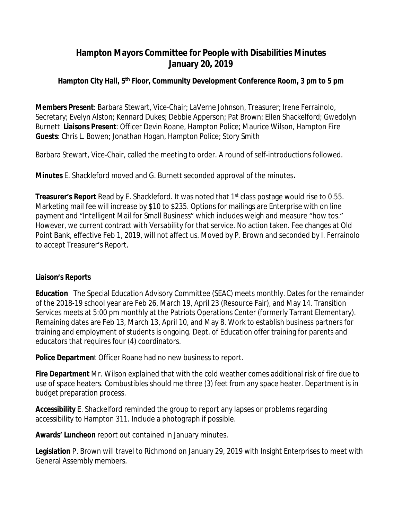# **Hampton Mayors Committee for People with Disabilities Minutes January 20, 2019**

## **Hampton City Hall, 5th Floor, Community Development Conference Room, 3 pm to 5 pm**

**Members Present**: Barbara Stewart, Vice-Chair; LaVerne Johnson, Treasurer; Irene Ferrainolo, Secretary; Evelyn Alston; Kennard Dukes; Debbie Apperson; Pat Brown; Ellen Shackelford; Gwedolyn Burnett **Liaisons Present**: Officer Devin Roane, Hampton Police; Maurice Wilson, Hampton Fire **Guests**: Chris L. Bowen; Jonathan Hogan, Hampton Police; Story Smith

Barbara Stewart, Vice-Chair, called the meeting to order. A round of self-introductions followed.

**Minutes** E. Shackleford moved and G. Burnett seconded approval of the minutes**.**

**Treasurer's Report** Read by E. Shackleford. It was noted that 1st class postage would rise to 0.55. Marketing mail fee will increase by \$10 to \$235. Options for mailings are Enterprise with on line payment and "Intelligent Mail for Small Business" which includes weigh and measure "how tos." However, we current contract with Versability for that service. No action taken. Fee changes at Old Point Bank, effective Feb 1, 2019, will not affect us. Moved by P. Brown and seconded by I. Ferrainolo to accept Treasurer's Report.

## **Liaison's Reports**

**Education** The Special Education Advisory Committee (SEAC) meets monthly. Dates for the remainder of the 2018-19 school year are Feb 26, March 19, April 23 (Resource Fair), and May 14. Transition Services meets at 5:00 pm monthly at the Patriots Operations Center (formerly Tarrant Elementary). Remaining dates are Feb 13, March 13, April 10, and May 8. Work to establish business partners for training and employment of students is ongoing. Dept. of Education offer training for parents and educators that requires four (4) coordinators.

**Police Departmen**t Officer Roane had no new business to report.

**Fire Department** Mr. Wilson explained that with the cold weather comes additional risk of fire due to use of space heaters. Combustibles should me three (3) feet from any space heater. Department is in budget preparation process.

**Accessibility** E. Shackelford reminded the group to report any lapses or problems regarding accessibility to Hampton 311. Include a photograph if possible.

**Awards' Luncheon** report out contained in January minutes.

**Legislation** P. Brown will travel to Richmond on January 29, 2019 with Insight Enterprises to meet with General Assembly members.